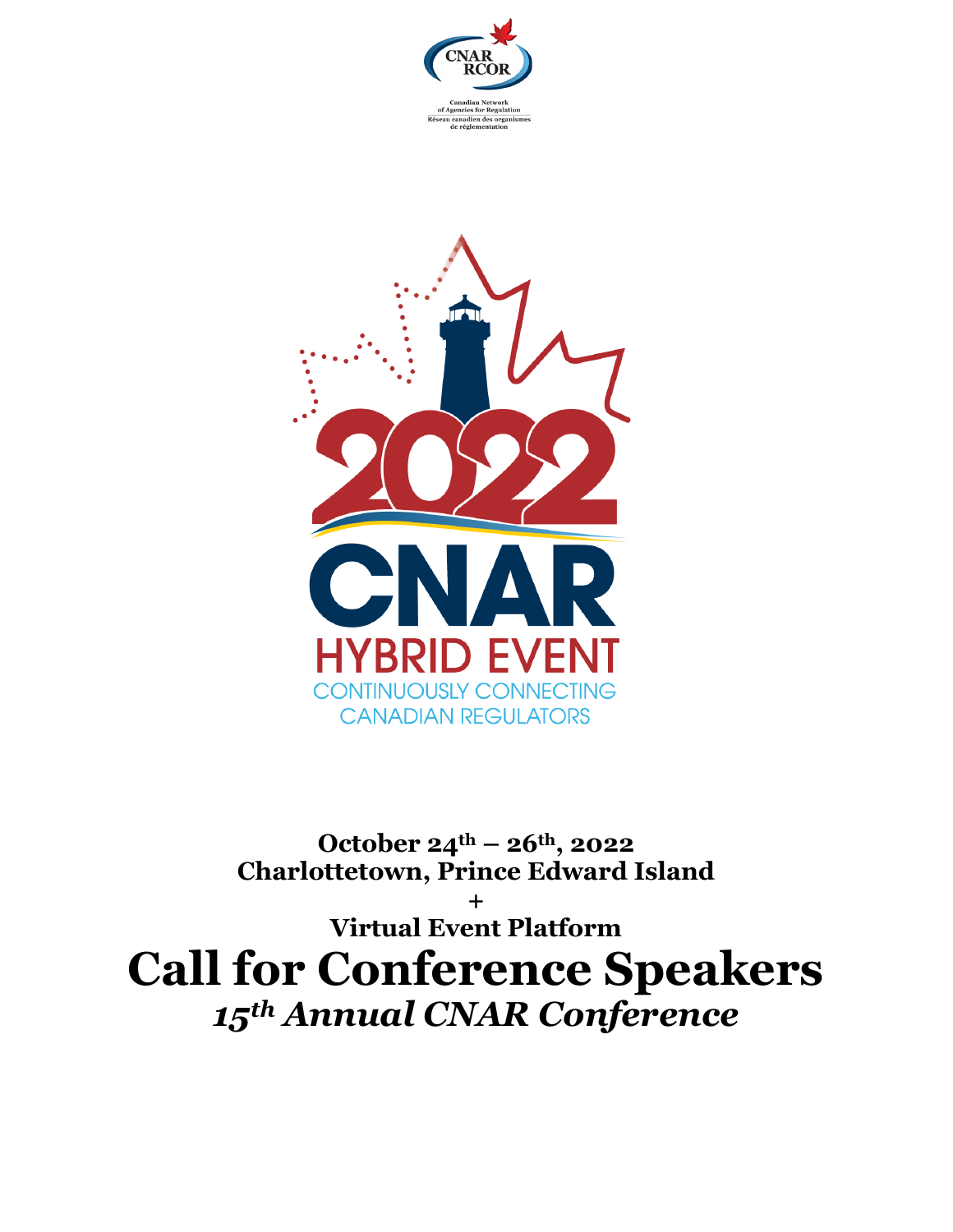



**October 24th – 26th, 2022 Charlottetown, Prince Edward Island**

**+ Virtual Event Platform Call for Conference Speakers** *15th Annual CNAR Conference*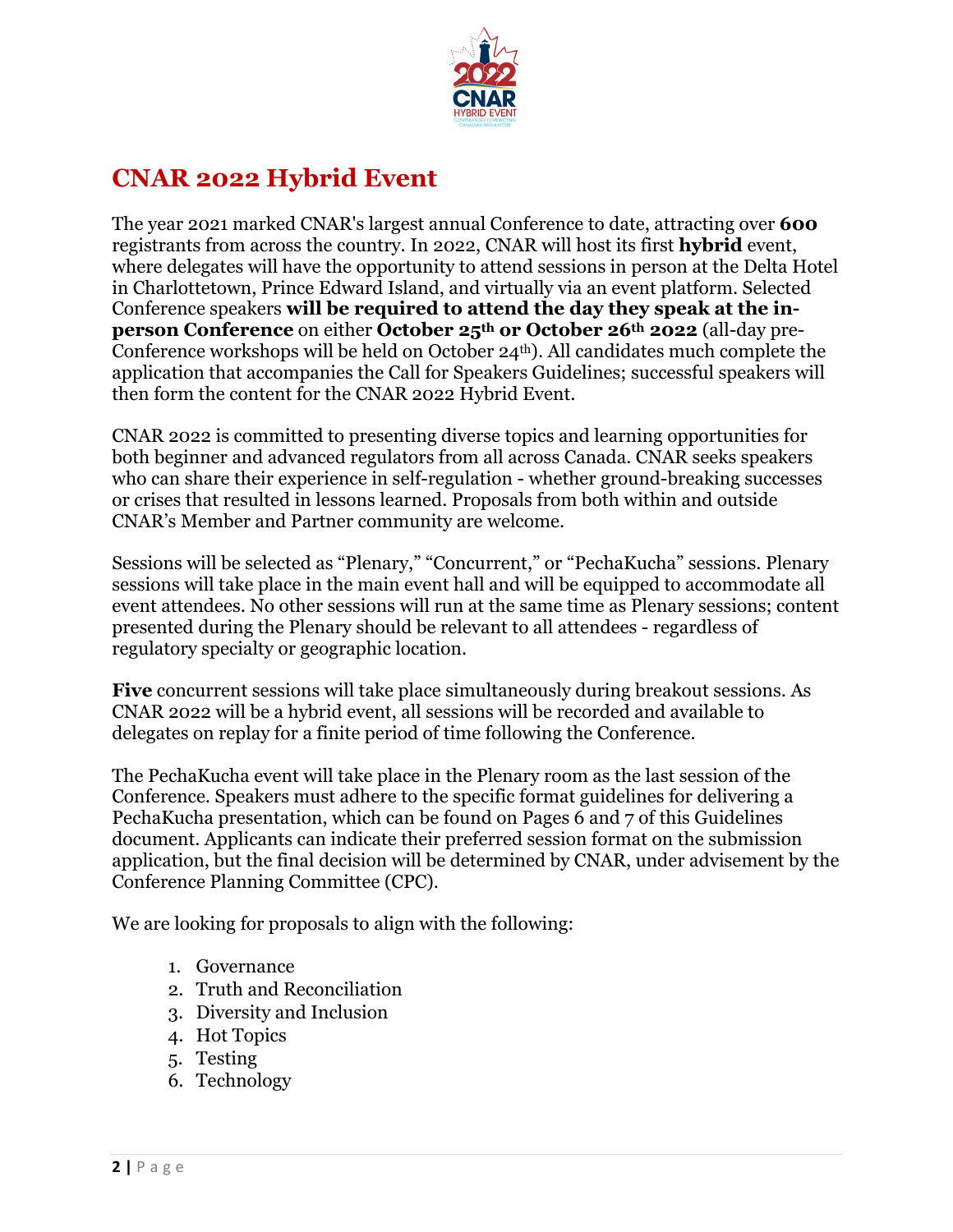

# **CNAR 2022 Hybrid Event**

The year 2021 marked CNAR's largest annual Conference to date, attracting over **600** registrants from across the country. In 2022, CNAR will host its first **hybrid** event, where delegates will have the opportunity to attend sessions in person at the Delta Hotel in Charlottetown, Prince Edward Island, and virtually via an event platform. Selected Conference speakers **will be required to attend the day they speak at the inperson Conference** on either **October 25th or October 26th 2022** (all-day pre-Conference workshops will be held on October 24th). All candidates much complete the application that accompanies the Call for Speakers Guidelines; successful speakers will then form the content for the CNAR 2022 Hybrid Event.

CNAR 2022 is committed to presenting diverse topics and learning opportunities for both beginner and advanced regulators from all across Canada. CNAR seeks speakers who can share their experience in self-regulation - whether ground-breaking successes or crises that resulted in lessons learned. Proposals from both within and outside CNAR's Member and Partner community are welcome.

Sessions will be selected as "Plenary," "Concurrent," or "PechaKucha" sessions. Plenary sessions will take place in the main event hall and will be equipped to accommodate all event attendees. No other sessions will run at the same time as Plenary sessions; content presented during the Plenary should be relevant to all attendees - regardless of regulatory specialty or geographic location.

**Five** concurrent sessions will take place simultaneously during breakout sessions. As CNAR 2022 will be a hybrid event, all sessions will be recorded and available to delegates on replay for a finite period of time following the Conference.

The PechaKucha event will take place in the Plenary room as the last session of the Conference. Speakers must adhere to the specific format guidelines for delivering a PechaKucha presentation, which can be found on Pages 6 and 7 of this Guidelines document. Applicants can indicate their preferred session format on the submission application, but the final decision will be determined by CNAR, under advisement by the Conference Planning Committee (CPC).

We are looking for proposals to align with the following:

- 1. Governance
- 2. Truth and Reconciliation
- 3. Diversity and Inclusion
- 4. Hot Topics
- 5. Testing
- 6. Technology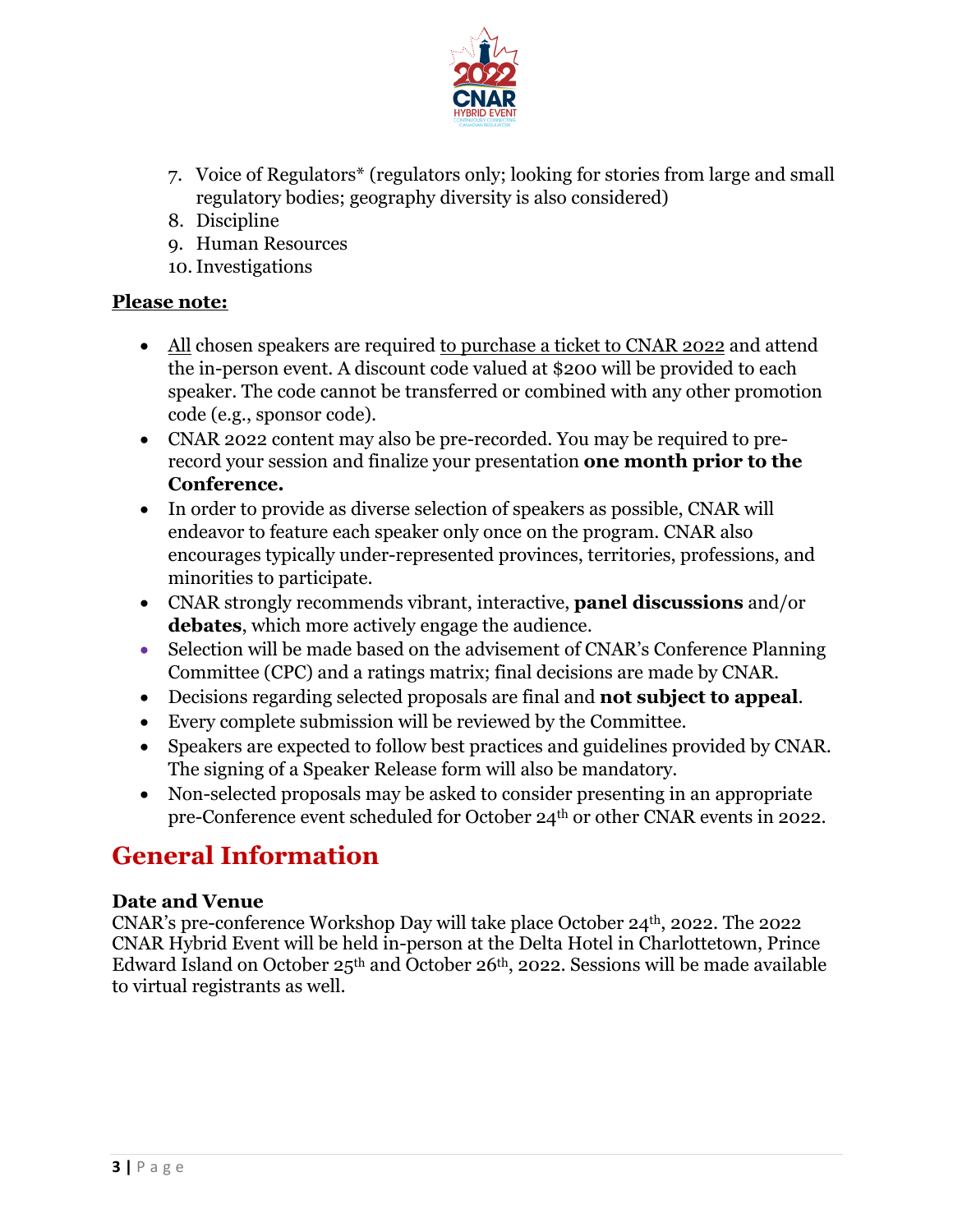

- 7. Voice of Regulators\* (regulators only; looking for stories from large and small regulatory bodies; geography diversity is also considered)
- 8. Discipline
- 9. Human Resources
- 10.Investigations

## **Please note:**

- All chosen speakers are required to purchase a ticket to CNAR 2022 and attend the in-person event. A discount code valued at \$200 will be provided to each speaker. The code cannot be transferred or combined with any other promotion code (e.g., sponsor code).
- CNAR 2022 content may also be pre-recorded. You may be required to prerecord your session and finalize your presentation **one month prior to the Conference.**
- In order to provide as diverse selection of speakers as possible, CNAR will endeavor to feature each speaker only once on the program. CNAR also encourages typically under-represented provinces, territories, professions, and minorities to participate.
- CNAR strongly recommends vibrant, interactive, **panel discussions** and/or **debates**, which more actively engage the audience.
- Selection will be made based on the advisement of CNAR's Conference Planning Committee (CPC) and a ratings matrix; final decisions are made by CNAR.
- Decisions regarding selected proposals are final and **not subject to appeal**.
- Every complete submission will be reviewed by the Committee.
- Speakers are expected to follow best practices and guidelines provided by CNAR. The signing of a Speaker Release form will also be mandatory.
- Non-selected proposals may be asked to consider presenting in an appropriate pre-Conference event scheduled for October 24th or other CNAR events in 2022.

## **General Information**

## **Date and Venue**

CNAR's pre-conference Workshop Day will take place October 24th, 2022. The 2022 CNAR Hybrid Event will be held in-person at the Delta Hotel in Charlottetown, Prince Edward Island on October 25th and October 26th, 2022. Sessions will be made available to virtual registrants as well.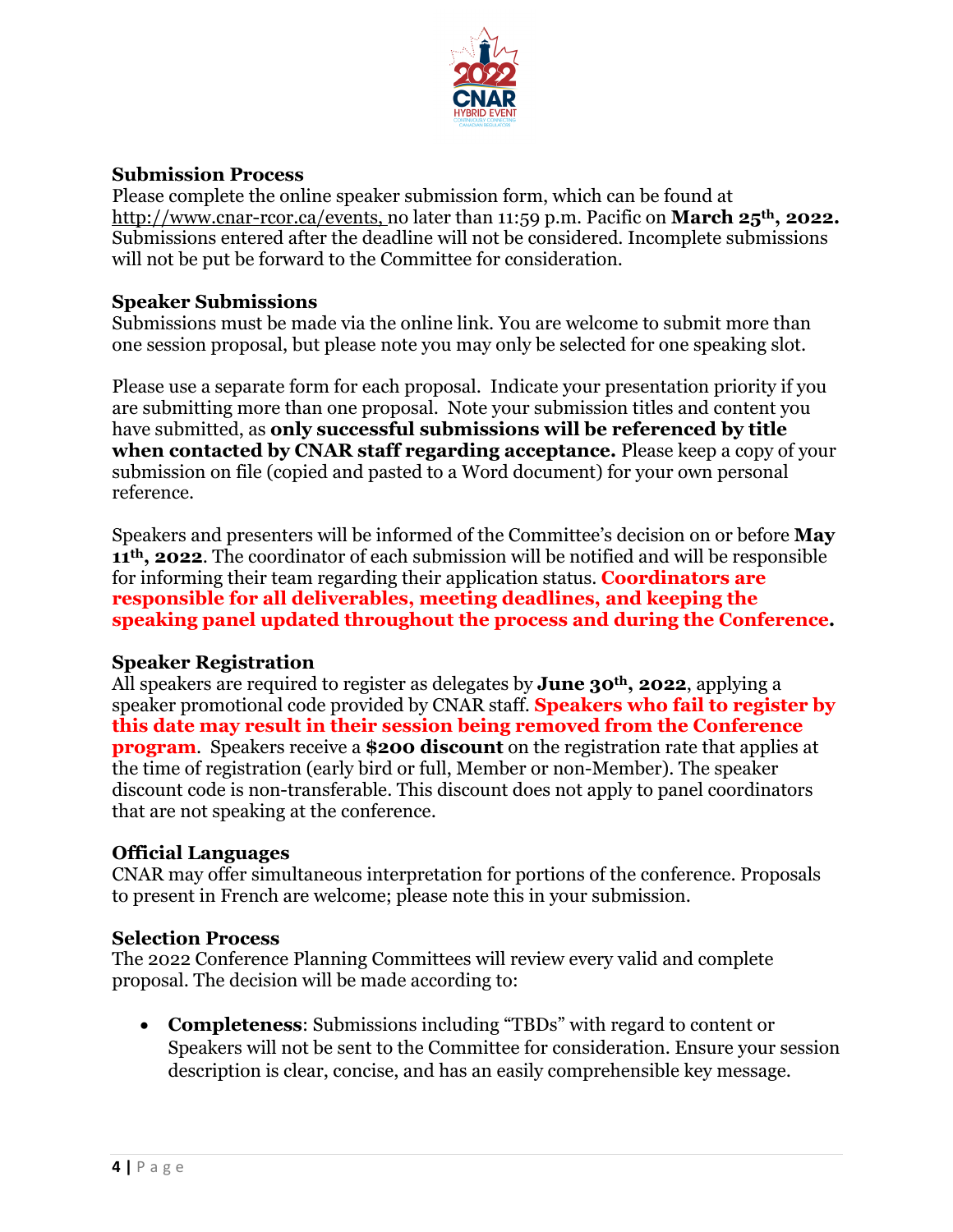

#### **Submission Process**

Please complete the online speaker submission form, which can be found at http://www.cnar-rcor.ca/events, no later than 11:59 p.m. Pacific on **March 25th, 2022.** Submissions entered after the deadline will not be considered. Incomplete submissions will not be put be forward to the Committee for consideration.

#### **Speaker Submissions**

Submissions must be made via the online link. You are welcome to submit more than one session proposal, but please note you may only be selected for one speaking slot.

Please use a separate form for each proposal. Indicate your presentation priority if you are submitting more than one proposal. Note your submission titles and content you have submitted, as **only successful submissions will be referenced by title when contacted by CNAR staff regarding acceptance.** Please keep a copy of your submission on file (copied and pasted to a Word document) for your own personal reference.

Speakers and presenters will be informed of the Committee's decision on or before **May 11th, 2022**. The coordinator of each submission will be notified and will be responsible for informing their team regarding their application status. **Coordinators are responsible for all deliverables, meeting deadlines, and keeping the speaking panel updated throughout the process and during the Conference.** 

## **Speaker Registration**

All speakers are required to register as delegates by **June 30th, 2022**, applying a speaker promotional code provided by CNAR staff. **Speakers who fail to register by this date may result in their session being removed from the Conference program**. Speakers receive a **\$200 discount** on the registration rate that applies at the time of registration (early bird or full, Member or non-Member). The speaker discount code is non-transferable. This discount does not apply to panel coordinators that are not speaking at the conference.

#### **Official Languages**

CNAR may offer simultaneous interpretation for portions of the conference. Proposals to present in French are welcome; please note this in your submission.

#### **Selection Process**

The 2022 Conference Planning Committees will review every valid and complete proposal. The decision will be made according to:

• **Completeness**: Submissions including "TBDs" with regard to content or Speakers will not be sent to the Committee for consideration. Ensure your session description is clear, concise, and has an easily comprehensible key message.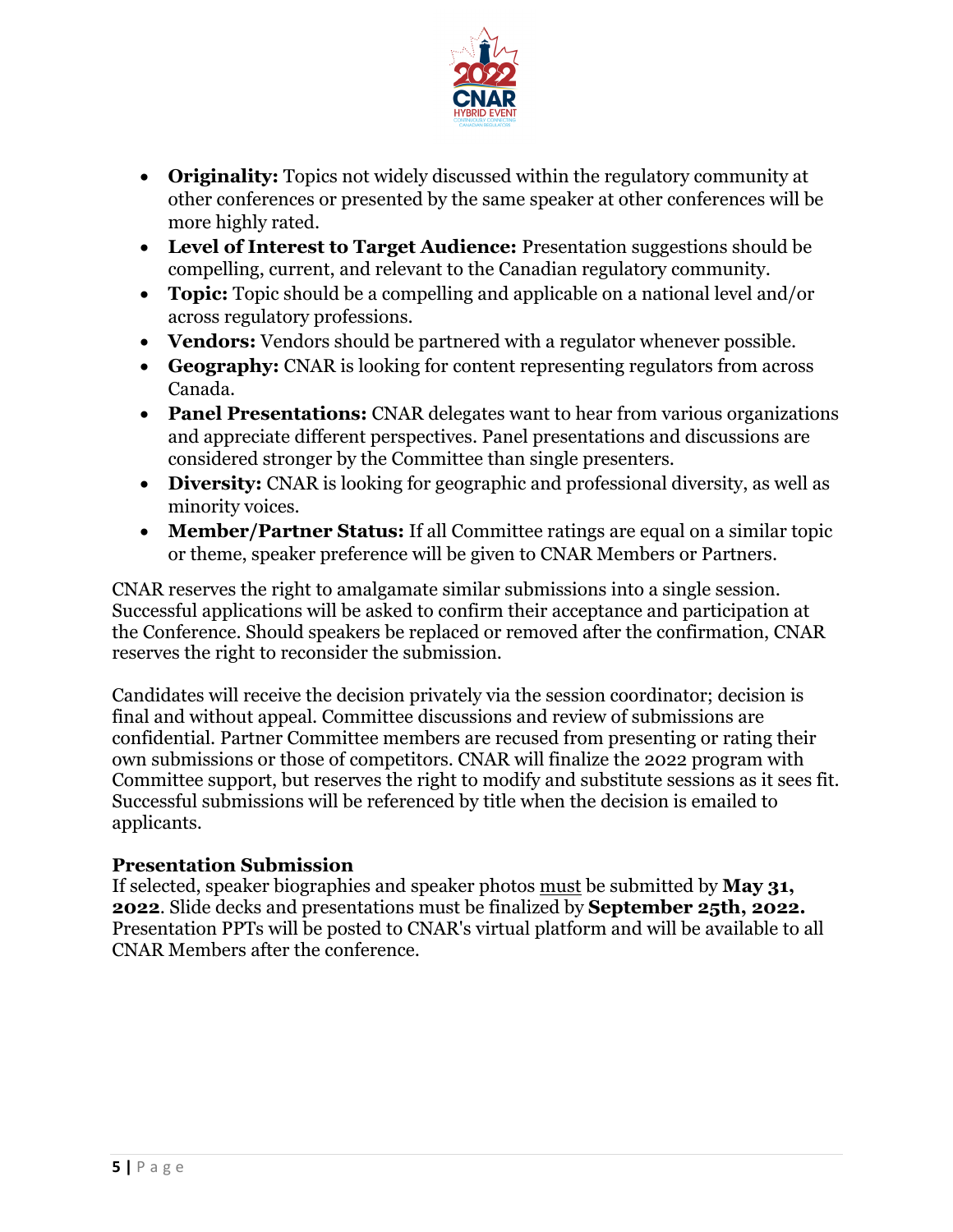

- **Originality:** Topics not widely discussed within the regulatory community at other conferences or presented by the same speaker at other conferences will be more highly rated.
- **Level of Interest to Target Audience:** Presentation suggestions should be compelling, current, and relevant to the Canadian regulatory community.
- **Topic:** Topic should be a compelling and applicable on a national level and/or across regulatory professions.
- **Vendors:** Vendors should be partnered with a regulator whenever possible.
- **Geography:** CNAR is looking for content representing regulators from across Canada.
- **Panel Presentations:** CNAR delegates want to hear from various organizations and appreciate different perspectives. Panel presentations and discussions are considered stronger by the Committee than single presenters.
- **Diversity:** CNAR is looking for geographic and professional diversity, as well as minority voices.
- **Member/Partner Status:** If all Committee ratings are equal on a similar topic or theme, speaker preference will be given to CNAR Members or Partners.

CNAR reserves the right to amalgamate similar submissions into a single session. Successful applications will be asked to confirm their acceptance and participation at the Conference. Should speakers be replaced or removed after the confirmation, CNAR reserves the right to reconsider the submission.

Candidates will receive the decision privately via the session coordinator; decision is final and without appeal. Committee discussions and review of submissions are confidential. Partner Committee members are recused from presenting or rating their own submissions or those of competitors. CNAR will finalize the 2022 program with Committee support, but reserves the right to modify and substitute sessions as it sees fit. Successful submissions will be referenced by title when the decision is emailed to applicants.

## **Presentation Submission**

If selected, speaker biographies and speaker photos must be submitted by **May 31, 2022**. Slide decks and presentations must be finalized by **September 25th, 2022.** Presentation PPTs will be posted to CNAR's virtual platform and will be available to all CNAR Members after the conference.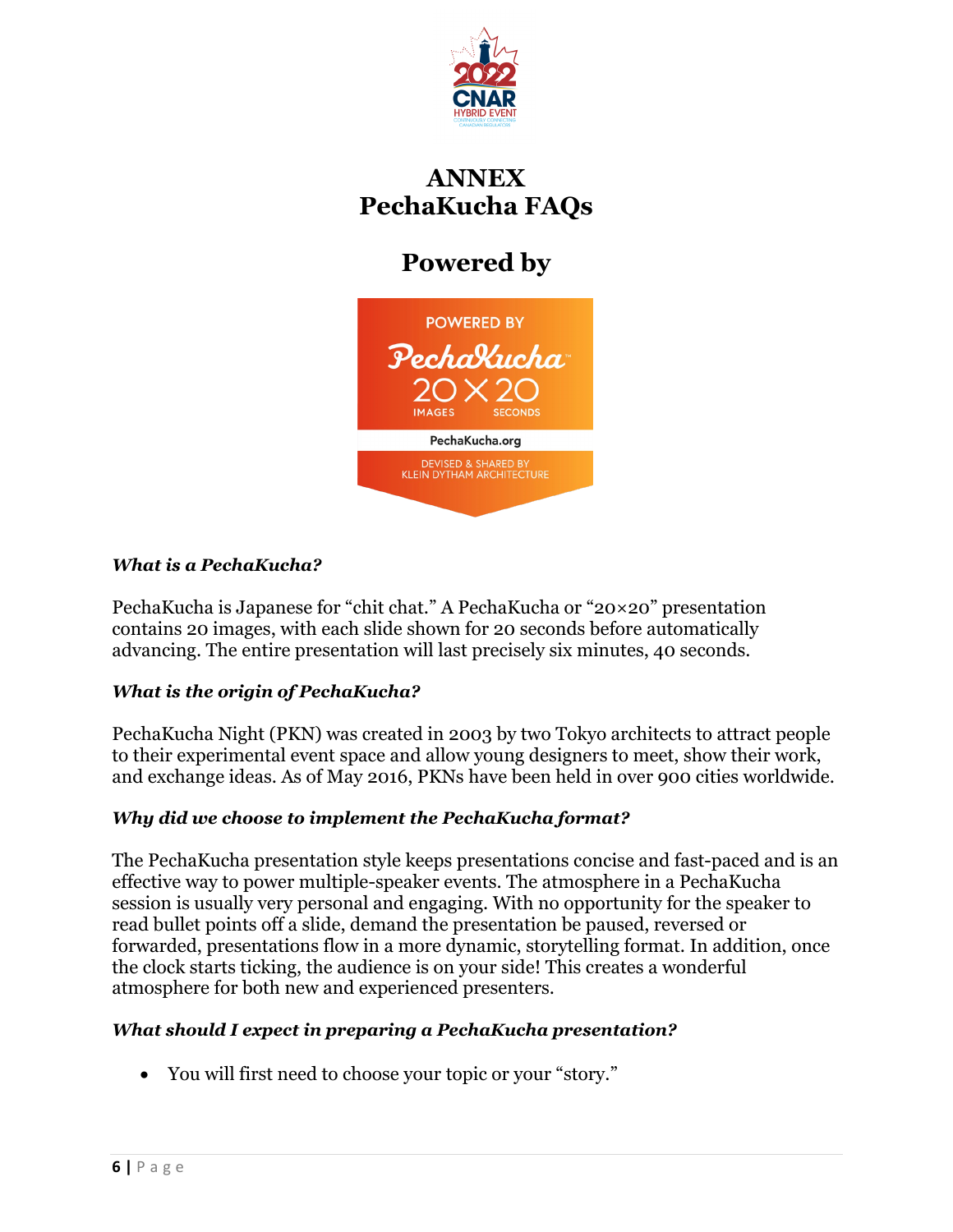

## **ANNEX PechaKucha FAQs**

# **Powered by**



#### *What is a PechaKucha?*

PechaKucha is Japanese for "chit chat." A PechaKucha or "20×20" presentation contains 20 images, with each slide shown for 20 seconds before automatically advancing. The entire presentation will last precisely six minutes, 40 seconds.

## *What is the origin of PechaKucha?*

PechaKucha Night (PKN) was created in 2003 by two Tokyo architects to attract people to their experimental event space and allow young designers to meet, show their work, and exchange ideas. As of May 2016, PKNs have been held in over 900 cities worldwide.

## *Why did we choose to implement the PechaKucha format?*

The PechaKucha presentation style keeps presentations concise and fast-paced and is an effective way to power multiple-speaker events. The atmosphere in a PechaKucha session is usually very personal and engaging. With no opportunity for the speaker to read bullet points off a slide, demand the presentation be paused, reversed or forwarded, presentations flow in a more dynamic, storytelling format. In addition, once the clock starts ticking, the audience is on your side! This creates a wonderful atmosphere for both new and experienced presenters.

#### *What should I expect in preparing a PechaKucha presentation?*

• You will first need to choose your topic or your "story."